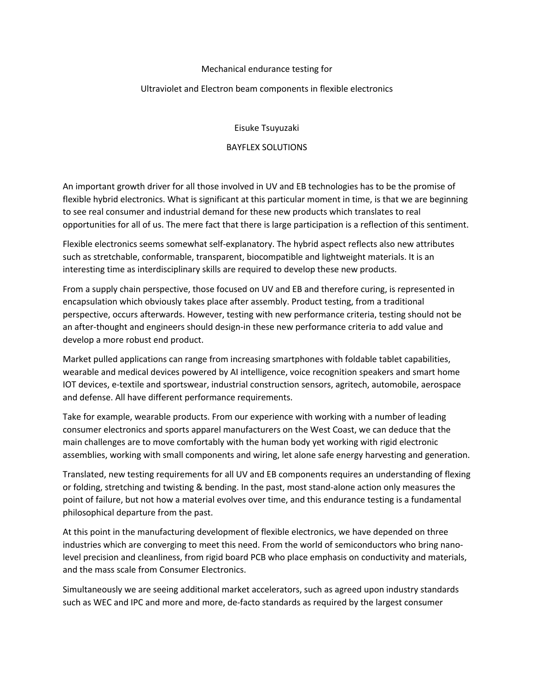## Mechanical endurance testing for

## Ultraviolet and Electron beam components in flexible electronics

Eisuke Tsuyuzaki

## BAYFLEX SOLUTIONS

An important growth driver for all those involved in UV and EB technologies has to be the promise of flexible hybrid electronics. What is significant at this particular moment in time, is that we are beginning to see real consumer and industrial demand for these new products which translates to real opportunities for all of us. The mere fact that there is large participation is a reflection of this sentiment.

Flexible electronics seems somewhat self-explanatory. The hybrid aspect reflects also new attributes such as stretchable, conformable, transparent, biocompatible and lightweight materials. It is an interesting time as interdisciplinary skills are required to develop these new products.

From a supply chain perspective, those focused on UV and EB and therefore curing, is represented in encapsulation which obviously takes place after assembly. Product testing, from a traditional perspective, occurs afterwards. However, testing with new performance criteria, testing should not be an after-thought and engineers should design-in these new performance criteria to add value and develop a more robust end product.

Market pulled applications can range from increasing smartphones with foldable tablet capabilities, wearable and medical devices powered by AI intelligence, voice recognition speakers and smart home IOT devices, e-textile and sportswear, industrial construction sensors, agritech, automobile, aerospace and defense. All have different performance requirements.

Take for example, wearable products. From our experience with working with a number of leading consumer electronics and sports apparel manufacturers on the West Coast, we can deduce that the main challenges are to move comfortably with the human body yet working with rigid electronic assemblies, working with small components and wiring, let alone safe energy harvesting and generation.

Translated, new testing requirements for all UV and EB components requires an understanding of flexing or folding, stretching and twisting & bending. In the past, most stand-alone action only measures the point of failure, but not how a material evolves over time, and this endurance testing is a fundamental philosophical departure from the past.

At this point in the manufacturing development of flexible electronics, we have depended on three industries which are converging to meet this need. From the world of semiconductors who bring nanolevel precision and cleanliness, from rigid board PCB who place emphasis on conductivity and materials, and the mass scale from Consumer Electronics.

Simultaneously we are seeing additional market accelerators, such as agreed upon industry standards such as WEC and IPC and more and more, de-facto standards as required by the largest consumer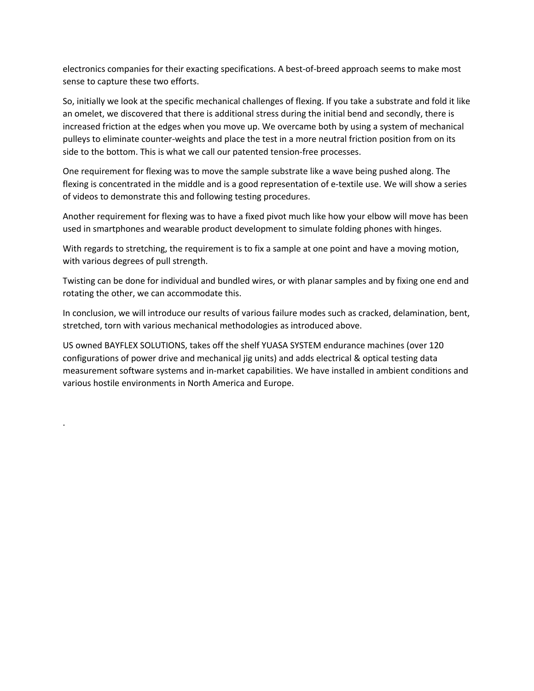electronics companies for their exacting specifications. A best-of-breed approach seems to make most sense to capture these two efforts.

So, initially we look at the specific mechanical challenges of flexing. If you take a substrate and fold it like an omelet, we discovered that there is additional stress during the initial bend and secondly, there is increased friction at the edges when you move up. We overcame both by using a system of mechanical pulleys to eliminate counter-weights and place the test in a more neutral friction position from on its side to the bottom. This is what we call our patented tension-free processes.

One requirement for flexing was to move the sample substrate like a wave being pushed along. The flexing is concentrated in the middle and is a good representation of e-textile use. We will show a series of videos to demonstrate this and following testing procedures.

Another requirement for flexing was to have a fixed pivot much like how your elbow will move has been used in smartphones and wearable product development to simulate folding phones with hinges.

With regards to stretching, the requirement is to fix a sample at one point and have a moving motion, with various degrees of pull strength.

Twisting can be done for individual and bundled wires, or with planar samples and by fixing one end and rotating the other, we can accommodate this.

In conclusion, we will introduce our results of various failure modes such as cracked, delamination, bent, stretched, torn with various mechanical methodologies as introduced above.

US owned BAYFLEX SOLUTIONS, takes off the shelf YUASA SYSTEM endurance machines (over 120 configurations of power drive and mechanical jig units) and adds electrical & optical testing data measurement software systems and in-market capabilities. We have installed in ambient conditions and various hostile environments in North America and Europe.

.